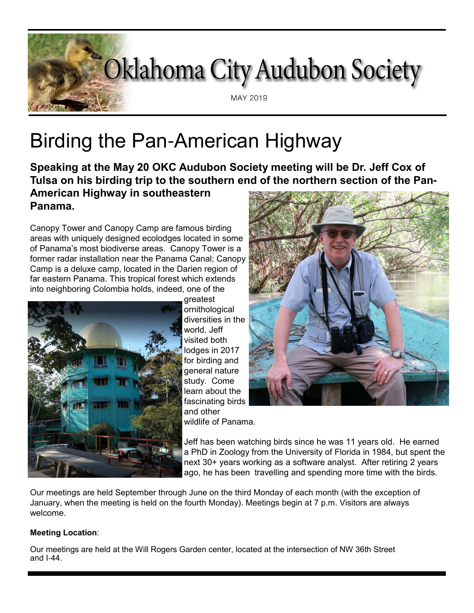# Oklahoma City Audubon Society MAY 2019

# Birding the Pan-American Highway

**Speaking at the May 20 OKC Audubon Society meeting will be Dr. Jeff Cox of Tulsa on his birding trip to the southern end of the northern section of the Pan-**

# **American Highway in southeastern Panama.**

Canopy Tower and Canopy Camp are famous birding areas with uniquely designed ecolodges located in some of Panama's most biodiverse areas. Canopy Tower is a former radar installation near the Panama Canal; Canopy Camp is a deluxe camp, located in the Darien region of far eastern Panama. This tropical forest which extends into neighboring Colombia holds, indeed, one of the



greatest ornithological diversities in the world. Jeff visited both lodges in 2017 for birding and general nature study. Come learn about the fascinating birds and other wildlife of Panama.



Jeff has been watching birds since he was 11 years old. He earned a PhD in Zoology from the University of Florida in 1984, but spent the next 30+ years working as a software analyst. After retiring 2 years ago, he has been travelling and spending more time with the birds.

Our meetings are held September through June on the third Monday of each month (with the exception of January, when the meeting is held on the fourth Monday). Meetings begin at 7 p.m. Visitors are always welcome.

#### **Meeting Location**:

Our meetings are held at the Will Rogers Garden center, located at the intersection of NW 36th Street and I-44.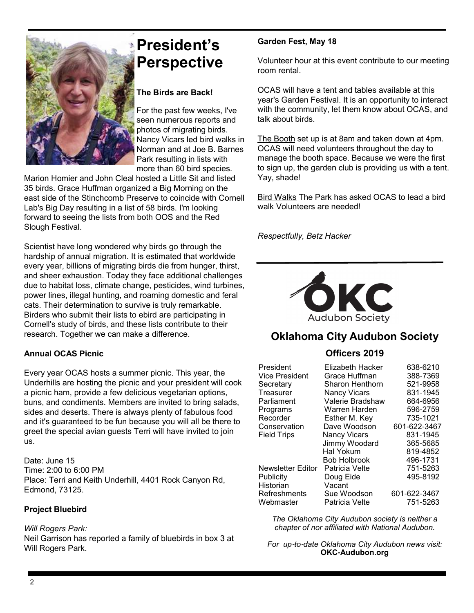

# **President's Perspective**

#### **The Birds are Back!**

For the past few weeks, I've seen numerous reports and photos of migrating birds. Nancy Vicars led bird walks in Norman and at Joe B. Barnes Park resulting in lists with more than 60 bird species.

Marion Homier and John Cleal hosted a Little Sit and listed 35 birds. Grace Huffman organized a Big Morning on the east side of the Stinchcomb Preserve to coincide with Cornell Lab's Big Day resulting in a list of 58 birds. I'm looking forward to seeing the lists from both OOS and the Red Slough Festival.

Scientist have long wondered why birds go through the hardship of annual migration. It is estimated that worldwide every year, billions of migrating birds die from hunger, thirst, and sheer exhaustion. Today they face additional challenges due to habitat loss, climate change, pesticides, wind turbines, power lines, illegal hunting, and roaming domestic and feral cats. Their determination to survive is truly remarkable. Birders who submit their lists to ebird are participating in Cornell's study of birds, and these lists contribute to their research. Together we can make a difference.

#### **Annual OCAS Picnic**

Every year OCAS hosts a summer picnic. This year, the Underhills are hosting the picnic and your president will cook a picnic ham, provide a few delicious vegetarian options, buns, and condiments. Members are invited to bring salads, sides and deserts. There is always plenty of fabulous food and it's guaranteed to be fun because you will all be there to greet the special avian guests Terri will have invited to join us.

Date: June 15 Time: 2:00 to 6:00 PM Place: Terri and Keith Underhill, 4401 Rock Canyon Rd, Edmond, 73125.

#### **Project Bluebird**

*Will Rogers Park:*  Neil Garrison has reported a family of bluebirds in box 3 at Will Rogers Park.

#### **Garden Fest, May 18**

Volunteer hour at this event contribute to our meeting room rental.

OCAS will have a tent and tables available at this year's Garden Festival. It is an opportunity to interact with the community, let them know about OCAS, and talk about birds.

The Booth set up is at 8am and taken down at 4pm. OCAS will need volunteers throughout the day to manage the booth space. Because we were the first to sign up, the garden club is providing us with a tent. Yay, shade!

Bird Walks The Park has asked OCAS to lead a bird walk Volunteers are needed!

*Respectfully, Betz Hacker*



## **Oklahoma City Audubon Society**

#### **Officers 2019**

| President             | Elizabeth Hacker    | 638-6210     |
|-----------------------|---------------------|--------------|
| <b>Vice President</b> | Grace Huffman       | 388-7369     |
| Secretary             | Sharon Henthorn     | 521-9958     |
| Treasurer             | <b>Nancy Vicars</b> | 831-1945     |
| Parliament            | Valerie Bradshaw    | 664-6956     |
| Programs              | Warren Harden       | 596-2759     |
| Recorder              | Esther M. Key       | 735-1021     |
| Conservation          | Dave Woodson        | 601-622-3467 |
| <b>Field Trips</b>    | <b>Nancy Vicars</b> | 831-1945     |
|                       | Jimmy Woodard       | 365-5685     |
|                       | Hal Yokum           | 819-4852     |
|                       | <b>Bob Holbrook</b> | 496-1731     |
| Newsletter Editor     | Patricia Velte      | 751-5263     |
| Publicity             | Doug Eide           | 495-8192     |
| Historian             | Vacant              |              |
| Refreshments          | Sue Woodson         | 601-622-3467 |
| Webmaster             | Patricia Velte      | 751-5263     |

*The Oklahoma City Audubon society is neither a chapter of nor affiliated with National Audubon.*

*For up*-*to*-*date Oklahoma City Audubon news visit:* **OKC-Audubon.org**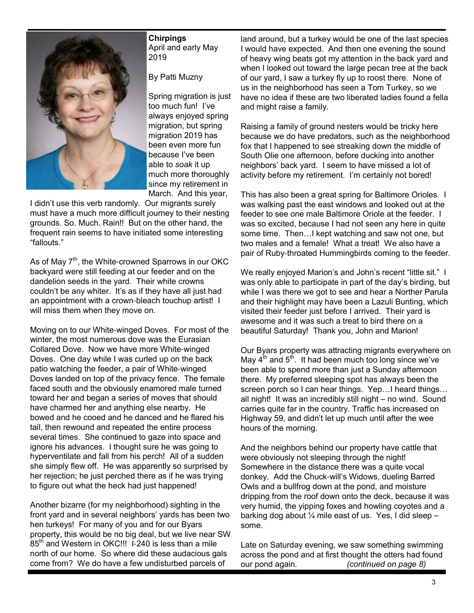

**Chirpings** April and early May 2019

By Patti Muzny

Spring migration is just too much fun! I've always enjoyed spring migration, but spring migration 2019 has been even more fun because I've been able to *soak* it up much more thoroughly since my retirement in March. And this year,

I didn't use this verb randomly. Our migrants surely must have a much more difficult journey to their nesting grounds. So. Much. Rain!! But on the other hand, the frequent rain seems to have initiated some interesting "fallouts."

As of May 7<sup>th</sup>, the White-crowned Sparrows in our OKC backyard were still feeding at our feeder and on the dandelion seeds in the yard. Their white crowns couldn't be any whiter. It's as if they have all just had an appointment with a crown-bleach touchup artist! I will miss them when they move on.

Moving on to our White-winged Doves. For most of the winter, the most numerous dove was the Eurasian Collared Dove. Now we have more White-winged Doves. One day while I was curled up on the back patio watching the feeder, a pair of White-winged Doves landed on top of the privacy fence. The female faced south and the obviously enamored male turned toward her and began a series of moves that should have charmed her and anything else nearby. He bowed and he cooed and he danced and he flared his tail, then rewound and repeated the entire process several times. She continued to gaze into space and ignore his advances. I thought sure he was going to hyperventilate and fall from his perch! All of a sudden she simply flew off. He was apparently so surprised by her rejection; he just perched there as if he was trying to figure out what the heck had just happened!

Another bizarre (for my neighborhood) sighting in the front yard and in several neighbors' yards has been two hen turkeys! For many of you and for our Byars property, this would be no big deal, but we live near SW 85<sup>th</sup> and Western in OKC!!! I-240 is less than a mile north of our home. So where did these audacious gals come from? We do have a few undisturbed parcels of

land around, but a turkey would be one of the last species I would have expected. And then one evening the sound of heavy wing beats got my attention in the back yard and when I looked out toward the large pecan tree at the back of our yard, I saw a turkey fly up to roost there. None of us in the neighborhood has seen a Tom Turkey, so we have no idea if these are two liberated ladies found a fella and might raise a family.

Raising a family of ground nesters would be tricky here because we do have predators, such as the neighborhood fox that I happened to see streaking down the middle of South Olie one afternoon, before ducking into another neighbors' back yard. I seem to have missed a lot of activity before my retirement. I'm certainly not bored!

This has also been a great spring for Baltimore Orioles. I was walking past the east windows and looked out at the feeder to see one male Baltimore Oriole at the feeder. I was so excited, because I had not seen any here in quite some time. Then…I kept watching and saw not one, but two males and a female! What a treat! We also have a pair of Ruby-throated Hummingbirds coming to the feeder.

We really enjoyed Marion's and John's recent "little sit." I was only able to participate in part of the day's birding, but while I was there we got to see and hear a Norther Parula and their highlight may have been a Lazuli Bunting, which visited their feeder just before I arrived. Their yard is awesome and it was such a treat to bird there on a beautiful Saturday! Thank you, John and Marion!

Our Byars property was attracting migrants everywhere on May  $4<sup>th</sup>$  and  $5<sup>th</sup>$ . It had been much too long since we've been able to spend more than just a Sunday afternoon there. My preferred sleeping spot has always been the screen porch so I can hear things. Yep…I heard things… all night! It was an incredibly still night – no wind. Sound carries quite far in the country. Traffic has increased on Highway 59, and didn't let up much until after the wee hours of the morning.

And the neighbors behind our property have cattle that were obviously not sleeping through the night! Somewhere in the distance there was a quite vocal donkey. Add the Chuck-will's Widows, dueling Barred Owls and a bullfrog down at the pond, and moisture dripping from the roof down onto the deck, because it was very humid, the yipping foxes and howling coyotes and a barking dog about  $\frac{1}{4}$  mile east of us. Yes, I did sleep some.

Late on Saturday evening, we saw something swimming across the pond and at first thought the otters had found our pond again*. (continued on page 8)*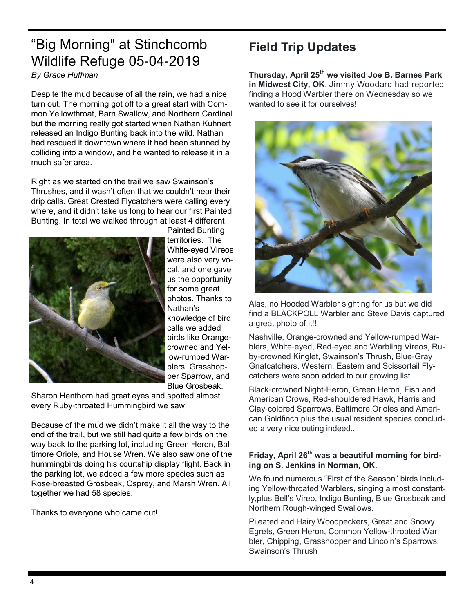# "Big Morning" at Stinchcomb Wildlife Refuge 05-04-2019 *By Grace Huffman*

Despite the mud because of all the rain, we had a nice turn out. The morning got off to a great start with Common Yellowthroat, Barn Swallow, and Northern Cardinal. but the morning really got started when Nathan Kuhnert released an Indigo Bunting back into the wild. Nathan had rescued it downtown where it had been stunned by colliding into a window, and he wanted to release it in a much safer area.

Right as we started on the trail we saw Swainson's Thrushes, and it wasn't often that we couldn't hear their drip calls. Great Crested Flycatchers were calling every where, and it didn't take us long to hear our first Painted Bunting. In total we walked through at least 4 different



Painted Bunting territories. The White-eyed Vireos were also very vocal, and one gave us the opportunity for some great photos. Thanks to Nathan's knowledge of bird calls we added birds like Orangecrowned and Yellow-rumped Warblers, Grasshopper Sparrow, and Blue Grosbeak.

Sharon Henthorn had great eyes and spotted almost every Ruby-throated Hummingbird we saw.

Because of the mud we didn't make it all the way to the end of the trail, but we still had quite a few birds on the way back to the parking lot, including Green Heron, Baltimore Oriole, and House Wren. We also saw one of the hummingbirds doing his courtship display flight. Back in the parking lot, we added a few more species such as Rose-breasted Grosbeak, Osprey, and Marsh Wren. All together we had 58 species.

Thanks to everyone who came out!

# **Field Trip Updates**

**Thursday, April 25th we visited Joe B. Barnes Park in Midwest City, OK**. Jimmy Woodard had reported finding a Hood Warbler there on Wednesday so we wanted to see it for ourselves!



Alas, no Hooded Warbler sighting for us but we did find a BLACKPOLL Warbler and Steve Davis captured a great photo of it!!

Nashville, Orange-crowned and Yellow-rumped Warblers, White-eyed, Red-eyed and Warbling Vireos, Ruby-crowned Kinglet, Swainson's Thrush, Blue-Gray Gnatcatchers, Western, Eastern and Scissortail Flycatchers were soon added to our growing list.

Black-crowned Night-Heron, Green Heron, Fish and American Crows, Red-shouldered Hawk, Harris and Clay-colored Sparrows, Baltimore Orioles and American Goldfinch plus the usual resident species concluded a very nice outing indeed..

#### **Friday, April 26th was a beautiful morning for birding on S. Jenkins in Norman, OK.**

We found numerous "First of the Season" birds including Yellow-throated Warblers, singing almost constantly,plus Bell's Vireo, Indigo Bunting, Blue Grosbeak and Northern Rough-winged Swallows.

Pileated and Hairy Woodpeckers, Great and Snowy Egrets, Green Heron, Common Yellow-throated Warbler, Chipping, Grasshopper and Lincoln's Sparrows, Swainson's Thrush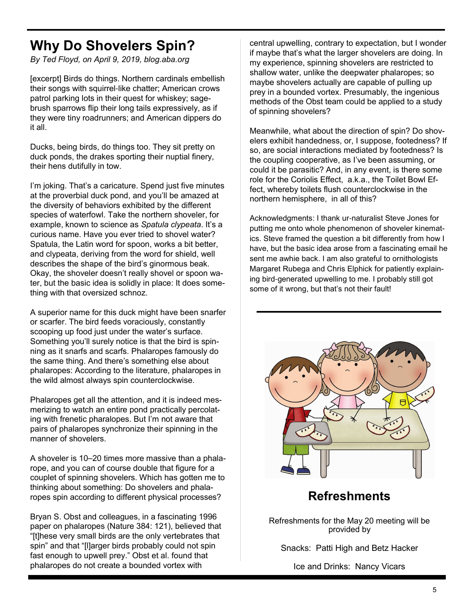# **Why Do Shovelers Spin?**

*By Ted Floyd, on April 9, 2019, blog.aba.org*

[excerpt] Birds do things. Northern cardinals embellish their songs with squirrel-like chatter; American crows patrol parking lots in their quest for whiskey; sagebrush sparrows flip their long tails expressively, as if they were tiny roadrunners; and American dippers do it all.

Ducks, being birds, do things too. They sit pretty on duck ponds, the drakes sporting their nuptial finery, their hens dutifully in tow.

I'm joking. That's a caricature. Spend just five minutes at the proverbial duck pond, and you'll be amazed at the diversity of behaviors exhibited by the different species of waterfowl. Take the northern shoveler, for example, known to science as *Spatula clypeata*. It's a curious name. Have you ever tried to shovel water? Spatula, the Latin word for spoon, works a bit better, and clypeata, deriving from the word for shield, well describes the shape of the bird's ginormous beak. Okay, the shoveler doesn't really shovel or spoon water, but the basic idea is solidly in place: It does something with that oversized schnoz.

A superior name for this duck might have been snarfer or scarfer. The bird feeds voraciously, constantly scooping up food just under the water's surface. Something you'll surely notice is that the bird is spinning as it snarfs and scarfs. Phalaropes famously do the same thing. And there's something else about phalaropes: According to the literature, phalaropes in the wild almost always spin counterclockwise.

Phalaropes get all the attention, and it is indeed mesmerizing to watch an entire pond practically percolating with frenetic pharalopes. But I'm not aware that pairs of phalaropes synchronize their spinning in the manner of shovelers.

A shoveler is 10–20 times more massive than a phalarope, and you can of course double that figure for a couplet of spinning shovelers. Which has gotten me to thinking about something: Do shovelers and phalaropes spin according to different physical processes?

Bryan S. Obst and colleagues, in a fascinating 1996 paper on phalaropes (Nature 384: 121), believed that "[t]hese very small birds are the only vertebrates that spin" and that "[l]arger birds probably could not spin fast enough to upwell prey." Obst et al. found that phalaropes do not create a bounded vortex with

central upwelling, contrary to expectation, but I wonder if maybe that's what the larger shovelers are doing. In my experience, spinning shovelers are restricted to shallow water, unlike the deepwater phalaropes; so maybe shovelers actually are capable of pulling up prey in a bounded vortex. Presumably, the ingenious methods of the Obst team could be applied to a study of spinning shovelers?

Meanwhile, what about the direction of spin? Do shovelers exhibit handedness, or, I suppose, footedness? If so, are social interactions mediated by footedness? Is the coupling cooperative, as I've been assuming, or could it be parasitic? And, in any event, is there some role for the Coriolis Effect, a.k.a., the Toilet Bowl Effect, whereby toilets flush counterclockwise in the northern hemisphere, in all of this?

Acknowledgments: I thank ur-naturalist Steve Jones for putting me onto whole phenomenon of shoveler kinematics. Steve framed the question a bit differently from how I have, but the basic idea arose from a fascinating email he sent me awhie back. I am also grateful to ornithologists Margaret Rubega and Chris Elphick for patiently explaining bird-generated upwelling to me. I probably still got some of it wrong, but that's not their fault!



# **Refreshments**

Refreshments for the May 20 meeting will be provided by

Snacks: Patti High and Betz Hacker

Ice and Drinks: Nancy Vicars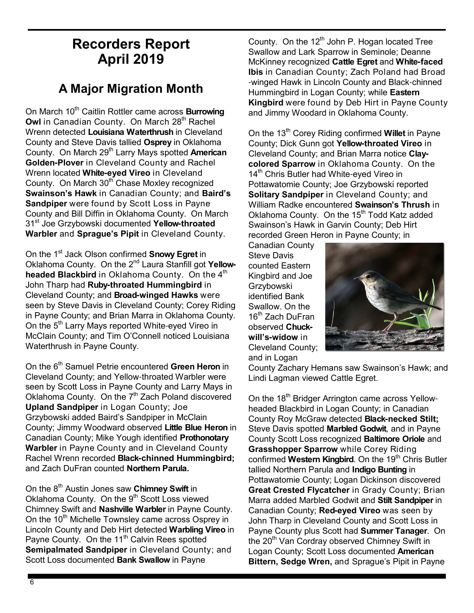# **Recorders Report April 2019**

# **A Major Migration Month**

On March 10<sup>th</sup> Caitlin Rottler came across **Burrowing Owl** in Canadian County. On March 28<sup>th</sup> Rachel Wrenn detected **Louisiana Waterthrush** in Cleveland County and Steve Davis tallied **Osprey** in Oklahoma County. On March 29th Larry Mays spotted **American Golden-Plover** in Cleveland County and Rachel Wrenn located **White-eyed Vireo** in Cleveland County. On March 30<sup>th</sup> Chase Moxley recognized **Swainson's Hawk** in Canadian County; and **Baird's Sandpiper** were found by Scott Loss in Payne County and Bill Diffin in Oklahoma County. On March 31st Joe Grzybowski documented **Yellow-throated Warbler** and **Sprague's Pipit** in Cleveland County.

On the 1<sup>st</sup> Jack Olson confirmed **Snowy Egret** in Oklahoma County. On the 2nd Laura Stanfill got **Yellowheaded Blackbird** in Oklahoma County. On the 4<sup>th</sup> John Tharp had **Ruby-throated Hummingbird** in Cleveland County; and **Broad-winged Hawks** were seen by Steve Davis in Cleveland County; Corey Riding in Payne County; and Brian Marra in Oklahoma County. On the 5<sup>th</sup> Larry Mays reported White-eyed Vireo in McClain County; and Tim O'Connell noticed Louisiana Waterthrush in Payne County.

On the 6th Samuel Petrie encountered **Green Heron** in Cleveland County; and Yellow-throated Warbler were seen by Scott Loss in Payne County and Larry Mays in Oklahoma County. On the  $7<sup>th</sup>$  Zach Poland discovered **Upland Sandpiper** in Logan County; Joe Grzybowski added Baird's Sandpiper in McClain County; Jimmy Woodward observed **Little Blue Heron** in Canadian County; Mike Yough identified **Prothonotary Warbler** in Payne County and in Cleveland County Rachel Wrenn recorded **Black-chinned Hummingbird;** and Zach DuFran counted **Northern Parula.**

On the 8th Austin Jones saw **Chimney Swift** in Oklahoma County. On the 9<sup>th</sup> Scott Loss viewed Chimney Swift and **Nashville Warbler** in Payne County. On the 10<sup>th</sup> Michelle Townsley came across Osprey in Lincoln County and Deb Hirt detected **Warbling Vireo** in Payne County. On the 11<sup>th</sup> Calvin Rees spotted **Semipalmated Sandpiper** in Cleveland County; and Scott Loss documented **Bank Swallow** in Payne

County. On the  $12<sup>th</sup>$  John P. Hogan located Tree Swallow and Lark Sparrow in Seminole; Deanne McKinney recognized **Cattle Egret** and **White-faced Ibis** in Canadian County; Zach Poland had Broad -winged Hawk in Lincoln County and Black-chinned Hummingbird in Logan County; while **Eastern Kingbird** were found by Deb Hirt in Payne County and Jimmy Woodard in Oklahoma County.

On the 13th Corey Riding confirmed **Willet** in Payne County; Dick Gunn got **Yellow-throated Vireo** in Cleveland County; and Brian Marra notice **Claycolored Sparrow** in Oklahoma County. On the 14<sup>th</sup> Chris Butler had White-eyed Vireo in Pottawatomie County; Joe Grzybowski reported **Solitary Sandpiper** in Cleveland County; and William Radke encountered **Swainson's Thrush** in Oklahoma County. On the 15<sup>th</sup> Todd Katz added Swainson's Hawk in Garvin County; Deb Hirt recorded Green Heron in Payne County; in

Canadian County Steve Davis counted Eastern Kingbird and Joe Grzybowski identified Bank Swallow. On the 16<sup>th</sup> Zach DuFran observed **Chuckwill's-widow** in Cleveland County; and in Logan



County Zachary Hemans saw Swainson's Hawk; and Lindi Lagman viewed Cattle Egret.

On the 18<sup>th</sup> Bridger Arrington came across Yellowheaded Blackbird in Logan County; in Canadian County Roy McGraw detected **Black-necked Stilt;**  Steve Davis spotted **Marbled Godwit**, and in Payne County Scott Loss recognized **Baltimore Oriole** and **Grasshopper Sparrow** while Corey Riding confirmed **Western Kingbird**. On the 19<sup>th</sup> Chris Butler tallied Northern Parula and **Indigo Bunting** in Pottawatomie County; Logan Dickinson discovered **Great Crested Flycatcher** in Grady County; Brian Marra added Marbled Godwit and **Stilt Sandpiper** in Canadian County; **Red-eyed Vireo** was seen by John Tharp in Cleveland County and Scott Loss in Payne County plus Scott had **Summer Tanager**. On the 20<sup>th</sup> Van Cordray observed Chimney Swift in Logan County; Scott Loss documented **American Bittern, Sedge Wren,** and Sprague's Pipit in Payne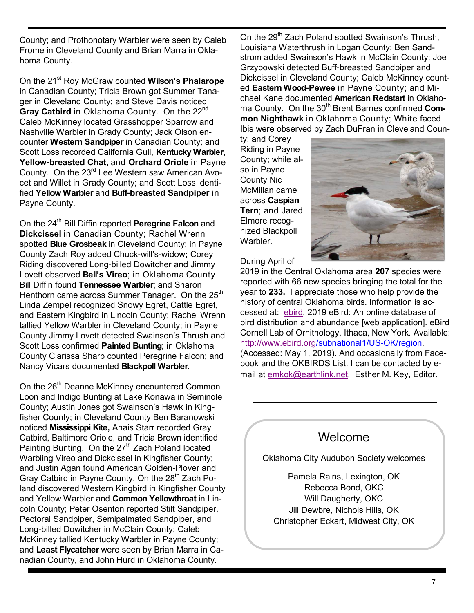County; and Prothonotary Warbler were seen by Caleb Frome in Cleveland County and Brian Marra in Oklahoma County.

On the 21<sup>st</sup> Roy McGraw counted **Wilson's Phalarope** in Canadian County; Tricia Brown got Summer Tanager in Cleveland County; and Steve Davis noticed Gray Catbird in Oklahoma County. On the 22<sup>nd</sup> Caleb McKinney located Grasshopper Sparrow and Nashville Warbler in Grady County; Jack Olson encounter **Western Sandpiper** in Canadian County; and Scott Loss recorded California Gull, **Kentucky Warbler, Yellow-breasted Chat,** and **Orchard Oriole** in Payne County. On the 23<sup>rd</sup> Lee Western saw American Avocet and Willet in Grady County; and Scott Loss identified **Yellow Warbler** and **Buff-breasted Sandpiper** in Payne County.

On the 24<sup>th</sup> Bill Diffin reported **Peregrine Falcon** and **Dickcissel** in Canadian County; Rachel Wrenn spotted **Blue Grosbeak** in Cleveland County; in Payne County Zach Roy added Chuck-will's-widow**;** Corey Riding discovered Long-billed Dowitcher and Jimmy Lovett observed **Bell's Vireo**; in Oklahoma County Bill Diffin found **Tennessee Warbler**; and Sharon Henthorn came across Summer Tanager. On the 25<sup>th</sup> Linda Zempel recognized Snowy Egret, Cattle Egret, and Eastern Kingbird in Lincoln County; Rachel Wrenn tallied Yellow Warbler in Cleveland County; in Payne County Jimmy Lovett detected Swainson's Thrush and Scott Loss confirmed **Painted Bunting**; in Oklahoma County Clarissa Sharp counted Peregrine Falcon; and Nancy Vicars documented **Blackpoll Warbler**.

On the 26<sup>th</sup> Deanne McKinney encountered Common Loon and Indigo Bunting at Lake Konawa in Seminole County; Austin Jones got Swainson's Hawk in Kingfisher County; in Cleveland County Ben Baranowski noticed **Mississippi Kite,** Anais Starr recorded Gray Catbird, Baltimore Oriole, and Tricia Brown identified Painting Bunting. On the 27<sup>th</sup> Zach Poland located Warbling Vireo and Dickcissel in Kingfisher County; and Justin Agan found American Golden-Plover and Gray Catbird in Payne County. On the 28<sup>th</sup> Zach Poland discovered Western Kingbird in Kingfisher County and Yellow Warbler and **Common Yellowthroat** in Lincoln County; Peter Osenton reported Stilt Sandpiper, Pectoral Sandpiper, Semipalmated Sandpiper, and Long-billed Dowitcher in McClain County; Caleb McKinney tallied Kentucky Warbler in Payne County; and **Least Flycatcher** were seen by Brian Marra in Canadian County, and John Hurd in Oklahoma County.

On the 29<sup>th</sup> Zach Poland spotted Swainson's Thrush, Louisiana Waterthrush in Logan County; Ben Sandstrom added Swainson's Hawk in McClain County; Joe Grzybowski detected Buff-breasted Sandpiper and Dickcissel in Cleveland County; Caleb McKinney counted **Eastern Wood-Pewee** in Payne County; and Michael Kane documented **American Redstart** in Oklahoma County. On the 30<sup>th</sup> Brent Barnes confirmed Com**mon Nighthawk** in Oklahoma County; White-faced Ibis were observed by Zach DuFran in Cleveland Coun-

ty; and Corey Riding in Payne County; while also in Payne County Nic McMillan came across **Caspian Tern**; and Jared Elmore recognized Blackpoll Warbler.



During April of

2019 in the Central Oklahoma area **207** species were reported with 66 new species bringing the total for the year to **233.** I appreciate those who help provide the history of central Oklahoma birds. Information is accessed at: ebird. 2019 eBird: An online database of bird distribution and abundance [web application]. eBird Cornell Lab of Ornithology, Ithaca, New York. Available: http://www.ebird.org/subnational1/US-OK/region. (Accessed: May 1, 2019). And occasionally from Facebook and the OKBIRDS List. I can be contacted by email at emkok@earthlink.net. Esther M. Key, Editor.

## Welcome

Oklahoma City Audubon Society welcomes

Pamela Rains, Lexington, OK Rebecca Bond, OKC Will Daugherty, OKC Jill Dewbre, Nichols Hills, OK Christopher Eckart, Midwest City, OK